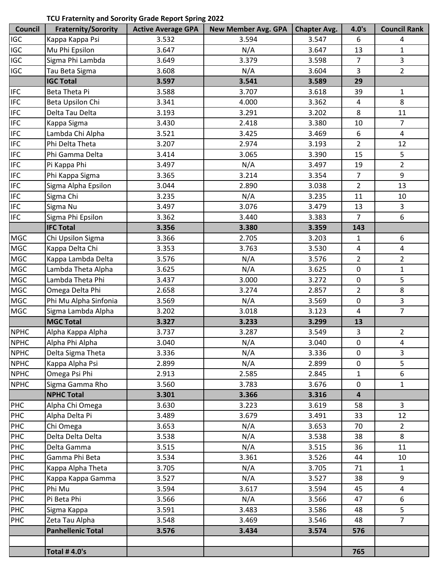## **TCU Fraternity and Sorority Grade Report Spring 2022**

| Council                     | <b>Fraternity/Sorority</b> | <b>Active Average GPA</b> | <b>New Member Avg. GPA</b> | <b>Chapter Avg.</b> | 4.0's                   | <b>Council Rank</b>     |
|-----------------------------|----------------------------|---------------------------|----------------------------|---------------------|-------------------------|-------------------------|
| IGC                         | Kappa Kappa Psi            | 3.532                     | 3.594                      | 3.547               | 6                       | 4                       |
| IGC                         | Mu Phi Epsilon             | 3.647                     | N/A                        | 3.647               | 13                      | $\mathbf{1}$            |
| IGC                         | Sigma Phi Lambda           | 3.649                     | 3.379                      | 3.598               | $\overline{7}$          | 3                       |
| <b>IGC</b>                  | Tau Beta Sigma             | 3.608                     | N/A                        | 3.604               | 3                       | $\overline{2}$          |
|                             | <b>IGC Total</b>           | 3.597                     | 3.541                      | 3.589               | 29                      |                         |
| <b>IFC</b>                  | Beta Theta Pi              | 3.588                     | 3.707                      | 3.618               | 39                      | $\mathbf 1$             |
| $\ensuremath{\mathsf{IFC}}$ | Beta Upsilon Chi           | 3.341                     | 4.000                      | 3.362               | 4                       | 8                       |
| <b>IFC</b>                  | Delta Tau Delta            | 3.193                     | 3.291                      | 3.202               | 8                       | 11                      |
| <b>IFC</b>                  | Kappa Sigma                | 3.430                     | 2.418                      | 3.380               | 10                      | $\overline{7}$          |
| <b>IFC</b>                  | Lambda Chi Alpha           | 3.521                     | 3.425                      | 3.469               | 6                       | 4                       |
| <b>IFC</b>                  | Phi Delta Theta            | 3.207                     | 2.974                      | 3.193               | $\overline{2}$          | 12                      |
| <b>IFC</b>                  | Phi Gamma Delta            | 3.414                     | 3.065                      | 3.390               | 15                      | 5                       |
| $\ensuremath{\mathsf{IFC}}$ | Pi Kappa Phi               | 3.497                     | N/A                        | 3.497               | 19                      | $\overline{2}$          |
| <b>IFC</b>                  | Phi Kappa Sigma            | 3.365                     | 3.214                      | 3.354               | $\overline{7}$          | 9                       |
| $\ensuremath{\mathsf{IFC}}$ | Sigma Alpha Epsilon        | 3.044                     | 2.890                      | 3.038               | $\overline{2}$          | 13                      |
| <b>IFC</b>                  | Sigma Chi                  | 3.235                     | N/A                        | 3.235               | 11                      | 10                      |
| <b>IFC</b>                  | Sigma Nu                   | 3.497                     | 3.076                      | 3.479               | 13                      | 3                       |
| <b>IFC</b>                  | Sigma Phi Epsilon          | 3.362                     | 3.440                      | 3.383               | $\overline{7}$          | $\boldsymbol{6}$        |
|                             | <b>IFC Total</b>           | 3.356                     | 3.380                      | 3.359               | 143                     |                         |
| <b>MGC</b>                  | Chi Upsilon Sigma          | 3.366                     | 2.705                      | 3.203               | $\mathbf{1}$            | $\boldsymbol{6}$        |
| <b>MGC</b>                  | Kappa Delta Chi            | 3.353                     | 3.763                      | 3.530               | $\pmb{4}$               | $\overline{4}$          |
| <b>MGC</b>                  | Kappa Lambda Delta         | 3.576                     | N/A                        | 3.576               | $\overline{2}$          | $\overline{2}$          |
| <b>MGC</b>                  | Lambda Theta Alpha         | 3.625                     | N/A                        | 3.625               | $\pmb{0}$               | $\mathbf{1}$            |
| <b>MGC</b>                  | Lambda Theta Phi           | 3.437                     | 3.000                      | 3.272               | $\pmb{0}$               | 5                       |
| <b>MGC</b>                  | Omega Delta Phi            | 2.658                     | 3.274                      | 2.857               | $\overline{2}$          | $\,8\,$                 |
| <b>MGC</b>                  | Phi Mu Alpha Sinfonia      | 3.569                     | N/A                        | 3.569               | $\pmb{0}$               | 3                       |
| <b>MGC</b>                  | Sigma Lambda Alpha         | 3.202                     | 3.018                      | 3.123               | $\overline{\mathbf{4}}$ | $\overline{7}$          |
|                             | <b>MGC Total</b>           | 3.327                     | 3.233                      | 3.299               | 13                      |                         |
| <b>NPHC</b>                 | Alpha Kappa Alpha          | 3.737                     | 3.287                      | 3.549               | 3                       | 2                       |
| <b>NPHC</b>                 | Alpha Phi Alpha            | 3.040                     | N/A                        | 3.040               | 0                       | $\pmb{4}$               |
| <b>NPHC</b>                 | Delta Sigma Theta          | 3.336                     | N/A                        | 3.336               | 0                       | 3                       |
| <b>NPHC</b>                 | Kappa Alpha Psi            | 2.899                     | N/A                        | 2.899               | $\mathbf 0$             | 5                       |
| <b>NPHC</b>                 | Omega Psi Phi              | 2.913                     | 2.585                      | 2.845               | $\mathbf{1}$            | 6                       |
| <b>NPHC</b>                 | Sigma Gamma Rho            | 3.560                     | 3.783                      | 3.676               | $\mathbf 0$             | $\mathbf{1}$            |
|                             | <b>NPHC Total</b>          | 3.301                     | 3.366                      | 3.316               | $\overline{\mathbf{4}}$ |                         |
| PHC                         | Alpha Chi Omega            | 3.630                     | 3.223                      | 3.619               | 58                      | $\mathbf{3}$            |
| PHC                         | Alpha Delta Pi             | 3.489                     | 3.679                      | 3.491               | 33                      | 12                      |
| PHC                         | Chi Omega                  | 3.653                     | N/A                        | 3.653               | 70                      | $\overline{2}$          |
| PHC                         | Delta Delta Delta          | 3.538                     | N/A                        | 3.538               | 38                      | 8                       |
| PHC                         | Delta Gamma                | 3.515                     | N/A                        | 3.515               | 36                      | 11                      |
| PHC                         | Gamma Phi Beta             | 3.534                     | 3.361                      | 3.526               | 44                      | 10                      |
| PHC                         | Kappa Alpha Theta          | 3.705                     | N/A                        | 3.705               | 71                      | $\mathbf{1}$            |
| PHC                         | Kappa Kappa Gamma          | 3.527                     | N/A                        | 3.527               | 38                      | 9                       |
| PHC                         | Phi Mu                     | 3.594                     | 3.617                      | 3.594               | 45                      | $\overline{\mathbf{4}}$ |
| PHC                         | Pi Beta Phi                | 3.566                     | N/A                        | 3.566               | 47                      | 6                       |
| PHC                         | Sigma Kappa                | 3.591                     | 3.483                      | 3.586               | 48                      | 5                       |
| <b>PHC</b>                  | Zeta Tau Alpha             | 3.548                     | 3.469                      | 3.546               | 48                      | $\overline{7}$          |
|                             | <b>Panhellenic Total</b>   | 3.576                     | 3.434                      | 3.574               | 576                     |                         |
|                             |                            |                           |                            |                     |                         |                         |
|                             | <b>Total #4.0's</b>        |                           |                            |                     | 765                     |                         |